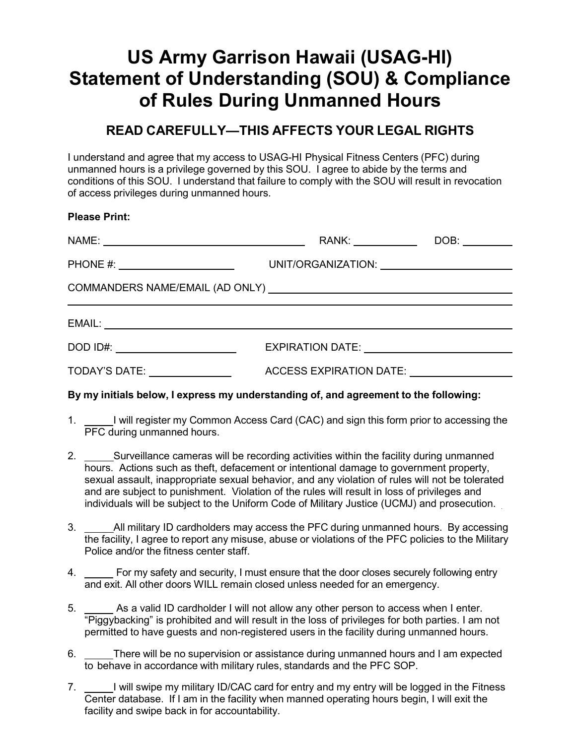# **US Army Garrison Hawaii (USAG-HI) Statement of Understanding (SOU) & Compliance of Rules During Unmanned Hours**

## **READ CAREFULLY—THIS AFFECTS YOUR LEGAL RIGHTS**

I understand and agree that my access to USAG-HI Physical Fitness Centers (PFC) during unmanned hours is a privilege governed by this SOU. I agree to abide by the terms and conditions of this SOU. I understand that failure to comply with the SOU will result in revocation of access privileges during unmanned hours.

#### **Please Print:**

|  | RANK: _____________                                                                                                                                                                                                            |  |  |
|--|--------------------------------------------------------------------------------------------------------------------------------------------------------------------------------------------------------------------------------|--|--|
|  |                                                                                                                                                                                                                                |  |  |
|  |                                                                                                                                                                                                                                |  |  |
|  |                                                                                                                                                                                                                                |  |  |
|  |                                                                                                                                                                                                                                |  |  |
|  | ACCESS EXPIRATION DATE: \\square\\square\\square\\square\\square\\square\\square\\square\\square\\square\\square\\square\\square\\square\\square\\square\\square\\square\\square\\square\\square\\square\\square\\square\\squa |  |  |

#### **By my initials below, I express my understanding of, and agreement to the following:**

- 1. <u>If all</u> will register my Common Access Card (CAC) and sign this form prior to accessing the PFC during unmanned hours.
- 2. Surveillance cameras will be recording activities within the facility during unmanned hours. Actions such as theft, defacement or intentional damage to government property, sexual assault, inappropriate sexual behavior, and any violation of rules will not be tolerated and are subject to punishment. Violation of the rules will result in loss of privileges and individuals will be subject to the Uniform Code of Military Justice (UCMJ) and prosecution.
- 3. \_\_\_\_\_All military ID cardholders may access the PFC during unmanned hours. By accessing the facility, I agree to report any misuse, abuse or violations of the PFC policies to the Military Police and/or the fitness center staff.
- 4. For my safety and security, I must ensure that the door closes securely following entry and exit. All other doors WILL remain closed unless needed for an emergency.
- 5. As a valid ID cardholder I will not allow any other person to access when I enter. "Piggybacking" is prohibited and will result in the loss of privileges for both parties. I am not permitted to have guests and non-registered users in the facility during unmanned hours.
- 6. There will be no supervision or assistance during unmanned hours and I am expected to behave in accordance with military rules, standards and the PFC SOP.
- 7. I will swipe my military ID/CAC card for entry and my entry will be logged in the Fitness Center database. If I am in the facility when manned operating hours begin, I will exit the facility and swipe back in for accountability.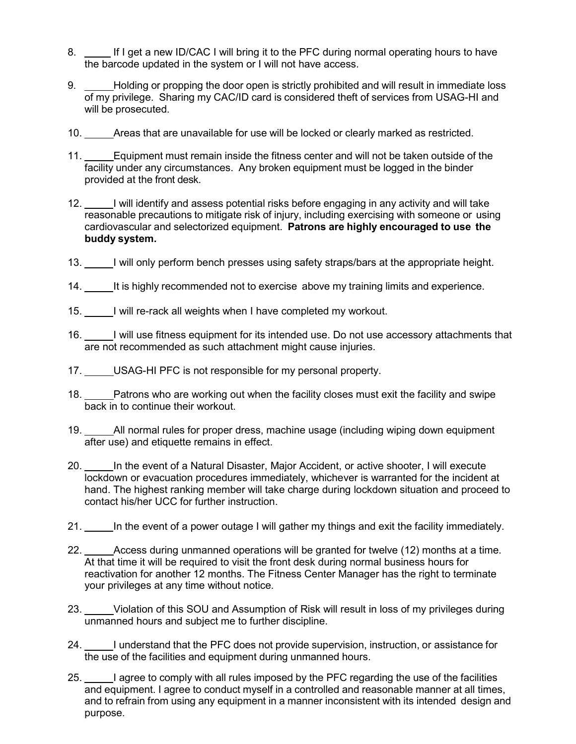- 8. If I get a new ID/CAC I will bring it to the PFC during normal operating hours to have the barcode updated in the system or I will not have access.
- 9. Holding or propping the door open is strictly prohibited and will result in immediate loss of my privilege. Sharing my CAC/ID card is considered theft of services from USAG-HI and will be prosecuted.
- 10. Areas that are unavailable for use will be locked or clearly marked as restricted.
- 11. Equipment must remain inside the fitness center and will not be taken outside of the facility under any circumstances. Any broken equipment must be logged in the binder provided at the front desk.
- 12. I will identify and assess potential risks before engaging in any activity and will take reasonable precautions to mitigate risk of injury, including exercising with someone or using cardiovascular and selectorized equipment. **Patrons are highly encouraged to use the buddy system.**
- 13. I will only perform bench presses using safety straps/bars at the appropriate height.
- 14. It is highly recommended not to exercise above my training limits and experience.
- 15. I will re-rack all weights when I have completed my workout.
- 16. I will use fitness equipment for its intended use. Do not use accessory attachments that are not recommended as such attachment might cause injuries.
- 17. USAG-HI PFC is not responsible for my personal property.
- 18. Patrons who are working out when the facility closes must exit the facility and swipe back in to continue their workout.
- 19. All normal rules for proper dress, machine usage (including wiping down equipment after use) and etiquette remains in effect.
- 20. In the event of a Natural Disaster, Major Accident, or active shooter, I will execute lockdown or evacuation procedures immediately, whichever is warranted for the incident at hand. The highest ranking member will take charge during lockdown situation and proceed to contact his/her UCC for further instruction.
- 21. In the event of a power outage I will gather my things and exit the facility immediately.
- 22. \_\_\_\_\_Access during unmanned operations will be granted for twelve (12) months at a time. At that time it will be required to visit the front desk during normal business hours for reactivation for another 12 months. The Fitness Center Manager has the right to terminate your privileges at any time without notice.
- 23. Violation of this SOU and Assumption of Risk will result in loss of my privileges during unmanned hours and subject me to further discipline.
- 24. I understand that the PFC does not provide supervision, instruction, or assistance for the use of the facilities and equipment during unmanned hours.
- 25. I agree to comply with all rules imposed by the PFC regarding the use of the facilities and equipment. I agree to conduct myself in a controlled and reasonable manner at all times, and to refrain from using any equipment in a manner inconsistent with its intended design and purpose.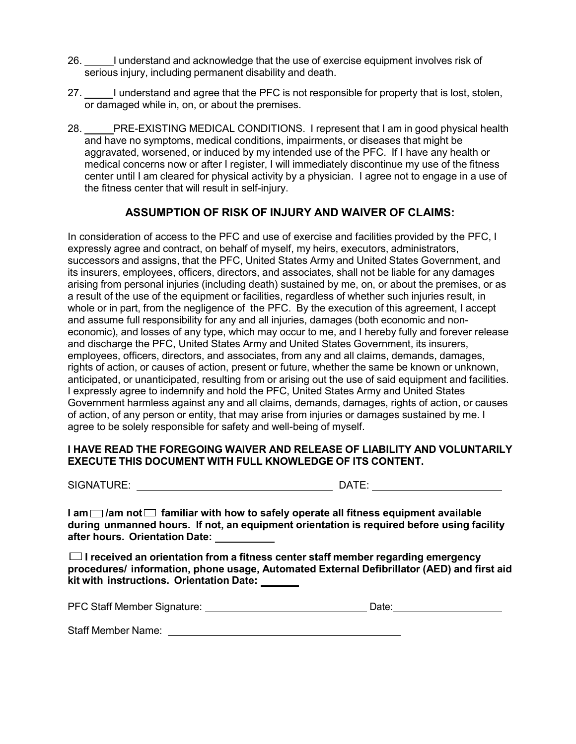- 26. I understand and acknowledge that the use of exercise equipment involves risk of serious injury, including permanent disability and death.
- 27. I understand and agree that the PFC is not responsible for property that is lost, stolen, or damaged while in, on, or about the premises.
- 28. PRE-EXISTING MEDICAL CONDITIONS. I represent that I am in good physical health and have no symptoms, medical conditions, impairments, or diseases that might be aggravated, worsened, or induced by my intended use of the PFC. If I have any health or medical concerns now or after I register, I will immediately discontinue my use of the fitness center until I am cleared for physical activity by a physician. I agree not to engage in a use of the fitness center that will result in self-injury.

### **ASSUMPTION OF RISK OF INJURY AND WAIVER OF CLAIMS:**

In consideration of access to the PFC and use of exercise and facilities provided by the PFC, I expressly agree and contract, on behalf of myself, my heirs, executors, administrators, successors and assigns, that the PFC, United States Army and United States Government, and its insurers, employees, officers, directors, and associates, shall not be liable for any damages arising from personal injuries (including death) sustained by me, on, or about the premises, or as a result of the use of the equipment or facilities, regardless of whether such injuries result, in whole or in part, from the negligence of the PFC. By the execution of this agreement, I accept and assume full responsibility for any and all injuries, damages (both economic and noneconomic), and losses of any type, which may occur to me, and I hereby fully and forever release and discharge the PFC, United States Army and United States Government, its insurers, employees, officers, directors, and associates, from any and all claims, demands, damages, rights of action, or causes of action, present or future, whether the same be known or unknown, anticipated, or unanticipated, resulting from or arising out the use of said equipment and facilities. I expressly agree to indemnify and hold the PFC, United States Army and United States Government harmless against any and all claims, demands, damages, rights of action, or causes of action, of any person or entity, that may arise from injuries or damages sustained by me. I agree to be solely responsible for safety and well-being of myself.

#### **I HAVE READ THE FOREGOING WAIVER AND RELEASE OF LIABILITY AND VOLUNTARILY EXECUTE THIS DOCUMENT WITH FULL KNOWLEDGE OF ITS CONTENT.**

SIGNATURE: DATE:

 $I$  **am**  $\Box$  *lam* not  $\Box$  familiar with how to safely operate all fitness equipment available **during unmanned hours. If not, an equipment orientation is required before using facility after hours. Orientation Date:** 

 **I received an orientation from a fitness center staff member regarding emergency procedures/ information, phone usage, Automated External Defibrillator (AED) and first aid kit with instructions. Orientation Date:** 

PFC Staff Member Signature: University of Date: Date: Date:

Staff Member Name: University of the Staff Member Name: